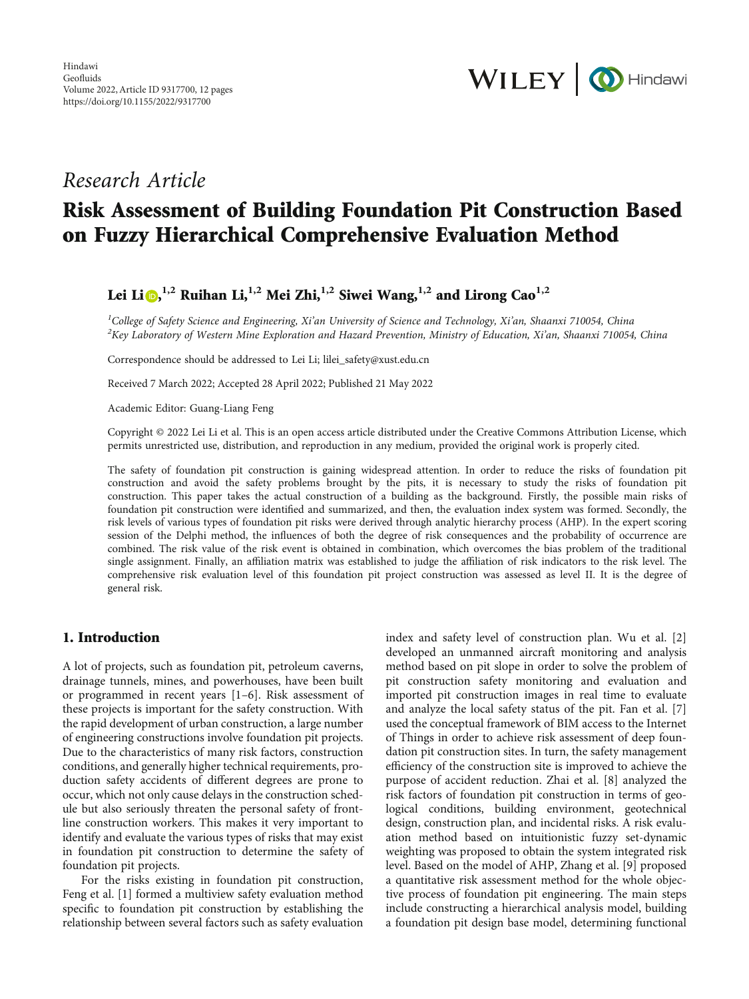

## Research Article

# Risk Assessment of Building Foundation Pit Construction Based on Fuzzy Hierarchical Comprehensive Evaluation Method

## Lei Li [,](https://orcid.org/0000-0002-5057-8092) **1,2** Ruihan Li,**1,2** Mei Zhi,**1,2** Siwei Wang,**1,2** and Lirong Cao**1,2**

<sup>1</sup>College of Safety Science and Engineering, Xi'an University of Science and Technology, Xi'an, Shaanxi 710054, China<br><sup>2</sup>Kay Laboratory of Western Mine Exploration and Hazard Provention, Ministry of Education, Xi'an, Shaa  $K^2$ Key Laboratory of Western Mine Exploration and Hazard Prevention, Ministry of Education, Xi'an, Shaanxi 710054, China

Correspondence should be addressed to Lei Li; lilei\_safety@xust.edu.cn

Received 7 March 2022; Accepted 28 April 2022; Published 21 May 2022

Academic Editor: Guang-Liang Feng

Copyright © 2022 Lei Li et al. This is an open access article distributed under the [Creative Commons Attribution License,](https://creativecommons.org/licenses/by/4.0/) which permits unrestricted use, distribution, and reproduction in any medium, provided the original work is properly cited.

The safety of foundation pit construction is gaining widespread attention. In order to reduce the risks of foundation pit construction and avoid the safety problems brought by the pits, it is necessary to study the risks of foundation pit construction. This paper takes the actual construction of a building as the background. Firstly, the possible main risks of foundation pit construction were identified and summarized, and then, the evaluation index system was formed. Secondly, the risk levels of various types of foundation pit risks were derived through analytic hierarchy process (AHP). In the expert scoring session of the Delphi method, the influences of both the degree of risk consequences and the probability of occurrence are combined. The risk value of the risk event is obtained in combination, which overcomes the bias problem of the traditional single assignment. Finally, an affiliation matrix was established to judge the affiliation of risk indicators to the risk level. The comprehensive risk evaluation level of this foundation pit project construction was assessed as level II. It is the degree of general risk.

## 1. Introduction

A lot of projects, such as foundation pit, petroleum caverns, drainage tunnels, mines, and powerhouses, have been built or programmed in recent years [[1](#page-10-0)–[6](#page-10-0)]. Risk assessment of these projects is important for the safety construction. With the rapid development of urban construction, a large number of engineering constructions involve foundation pit projects. Due to the characteristics of many risk factors, construction conditions, and generally higher technical requirements, production safety accidents of different degrees are prone to occur, which not only cause delays in the construction schedule but also seriously threaten the personal safety of frontline construction workers. This makes it very important to identify and evaluate the various types of risks that may exist in foundation pit construction to determine the safety of foundation pit projects.

For the risks existing in foundation pit construction, Feng et al. [[1](#page-10-0)] formed a multiview safety evaluation method specific to foundation pit construction by establishing the relationship between several factors such as safety evaluation index and safety level of construction plan. Wu et al. [[2\]](#page-10-0) developed an unmanned aircraft monitoring and analysis method based on pit slope in order to solve the problem of pit construction safety monitoring and evaluation and imported pit construction images in real time to evaluate and analyze the local safety status of the pit. Fan et al. [[7\]](#page-10-0) used the conceptual framework of BIM access to the Internet of Things in order to achieve risk assessment of deep foundation pit construction sites. In turn, the safety management efficiency of the construction site is improved to achieve the purpose of accident reduction. Zhai et al. [[8\]](#page-10-0) analyzed the risk factors of foundation pit construction in terms of geological conditions, building environment, geotechnical design, construction plan, and incidental risks. A risk evaluation method based on intuitionistic fuzzy set-dynamic weighting was proposed to obtain the system integrated risk level. Based on the model of AHP, Zhang et al. [\[9\]](#page-10-0) proposed a quantitative risk assessment method for the whole objective process of foundation pit engineering. The main steps include constructing a hierarchical analysis model, building a foundation pit design base model, determining functional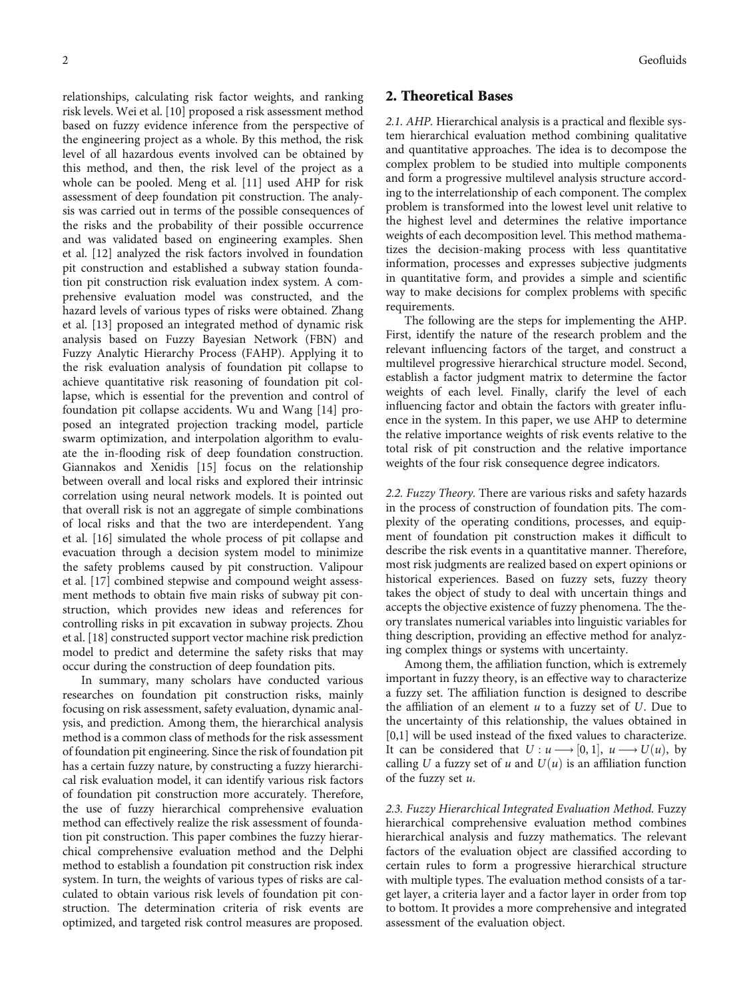relationships, calculating risk factor weights, and ranking risk levels. Wei et al. [[10](#page-10-0)] proposed a risk assessment method based on fuzzy evidence inference from the perspective of the engineering project as a whole. By this method, the risk level of all hazardous events involved can be obtained by this method, and then, the risk level of the project as a whole can be pooled. Meng et al. [\[11\]](#page-11-0) used AHP for risk assessment of deep foundation pit construction. The analysis was carried out in terms of the possible consequences of the risks and the probability of their possible occurrence and was validated based on engineering examples. Shen et al. [\[12\]](#page-11-0) analyzed the risk factors involved in foundation pit construction and established a subway station foundation pit construction risk evaluation index system. A comprehensive evaluation model was constructed, and the hazard levels of various types of risks were obtained. Zhang et al. [\[13\]](#page-11-0) proposed an integrated method of dynamic risk analysis based on Fuzzy Bayesian Network (FBN) and Fuzzy Analytic Hierarchy Process (FAHP). Applying it to the risk evaluation analysis of foundation pit collapse to achieve quantitative risk reasoning of foundation pit collapse, which is essential for the prevention and control of foundation pit collapse accidents. Wu and Wang [\[14\]](#page-11-0) proposed an integrated projection tracking model, particle swarm optimization, and interpolation algorithm to evaluate the in-flooding risk of deep foundation construction. Giannakos and Xenidis [[15](#page-11-0)] focus on the relationship between overall and local risks and explored their intrinsic correlation using neural network models. It is pointed out that overall risk is not an aggregate of simple combinations of local risks and that the two are interdependent. Yang et al. [\[16\]](#page-11-0) simulated the whole process of pit collapse and evacuation through a decision system model to minimize the safety problems caused by pit construction. Valipour et al. [[17](#page-11-0)] combined stepwise and compound weight assessment methods to obtain five main risks of subway pit construction, which provides new ideas and references for controlling risks in pit excavation in subway projects. Zhou et al. [[18](#page-11-0)] constructed support vector machine risk prediction model to predict and determine the safety risks that may occur during the construction of deep foundation pits.

In summary, many scholars have conducted various researches on foundation pit construction risks, mainly focusing on risk assessment, safety evaluation, dynamic analysis, and prediction. Among them, the hierarchical analysis method is a common class of methods for the risk assessment of foundation pit engineering. Since the risk of foundation pit has a certain fuzzy nature, by constructing a fuzzy hierarchical risk evaluation model, it can identify various risk factors of foundation pit construction more accurately. Therefore, the use of fuzzy hierarchical comprehensive evaluation method can effectively realize the risk assessment of foundation pit construction. This paper combines the fuzzy hierarchical comprehensive evaluation method and the Delphi method to establish a foundation pit construction risk index system. In turn, the weights of various types of risks are calculated to obtain various risk levels of foundation pit construction. The determination criteria of risk events are optimized, and targeted risk control measures are proposed.

## 2. Theoretical Bases

2.1. AHP. Hierarchical analysis is a practical and flexible system hierarchical evaluation method combining qualitative and quantitative approaches. The idea is to decompose the complex problem to be studied into multiple components and form a progressive multilevel analysis structure according to the interrelationship of each component. The complex problem is transformed into the lowest level unit relative to the highest level and determines the relative importance weights of each decomposition level. This method mathematizes the decision-making process with less quantitative information, processes and expresses subjective judgments in quantitative form, and provides a simple and scientific way to make decisions for complex problems with specific requirements.

The following are the steps for implementing the AHP. First, identify the nature of the research problem and the relevant influencing factors of the target, and construct a multilevel progressive hierarchical structure model. Second, establish a factor judgment matrix to determine the factor weights of each level. Finally, clarify the level of each influencing factor and obtain the factors with greater influence in the system. In this paper, we use AHP to determine the relative importance weights of risk events relative to the total risk of pit construction and the relative importance weights of the four risk consequence degree indicators.

2.2. Fuzzy Theory. There are various risks and safety hazards in the process of construction of foundation pits. The complexity of the operating conditions, processes, and equipment of foundation pit construction makes it difficult to describe the risk events in a quantitative manner. Therefore, most risk judgments are realized based on expert opinions or historical experiences. Based on fuzzy sets, fuzzy theory takes the object of study to deal with uncertain things and accepts the objective existence of fuzzy phenomena. The theory translates numerical variables into linguistic variables for thing description, providing an effective method for analyzing complex things or systems with uncertainty.

Among them, the affiliation function, which is extremely important in fuzzy theory, is an effective way to characterize a fuzzy set. The affiliation function is designed to describe the affiliation of an element *u* to a fuzzy set of *U*. Due to the uncertainty of this relationship, the values obtained in [0,1] will be used instead of the fixed values to characterize. It can be considered that  $U: u \longrightarrow [0, 1], u \longrightarrow U(u)$ , by calling *U* a fuzzy set of *u* and  $U(u)$  is an affiliation function of the fuzzy set *u*.

2.3. Fuzzy Hierarchical Integrated Evaluation Method. Fuzzy hierarchical comprehensive evaluation method combines hierarchical analysis and fuzzy mathematics. The relevant factors of the evaluation object are classified according to certain rules to form a progressive hierarchical structure with multiple types. The evaluation method consists of a target layer, a criteria layer and a factor layer in order from top to bottom. It provides a more comprehensive and integrated assessment of the evaluation object.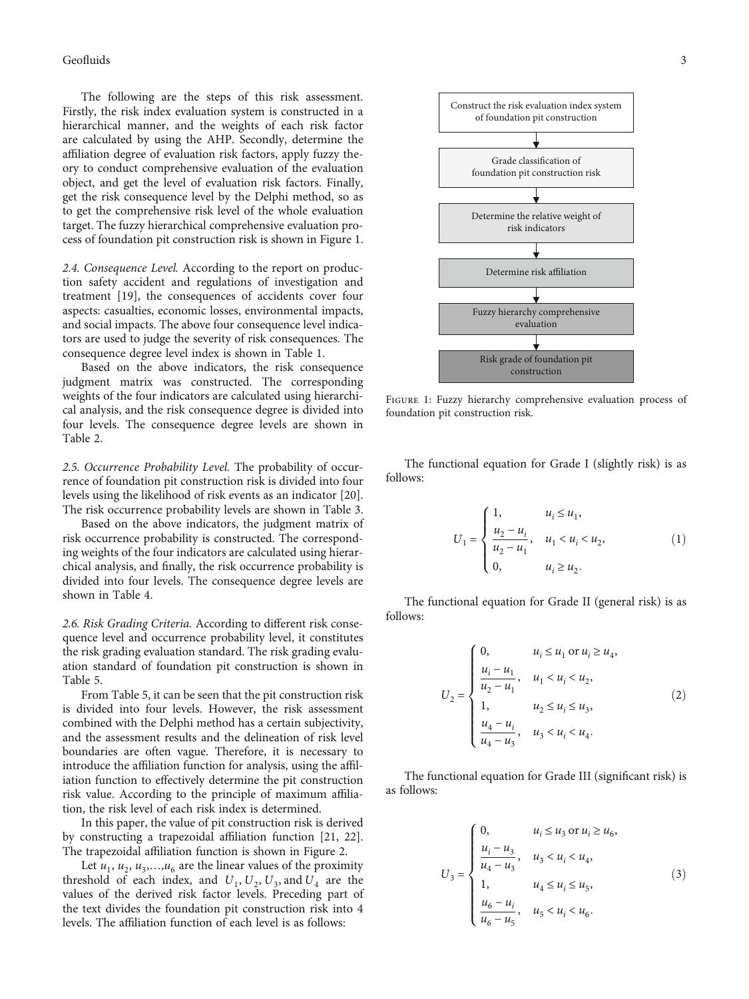<span id="page-2-0"></span>The following are the steps of this risk assessment. Firstly, the risk index evaluation system is constructed in a hierarchical manner, and the weights of each risk factor are calculated by using the AHP. Secondly, determine the affiliation degree of evaluation risk factors, apply fuzzy theory to conduct comprehensive evaluation of the evaluation object, and get the level of evaluation risk factors. Finally, get the risk consequence level by the Delphi method, so as to get the comprehensive risk level of the whole evaluation target. The fuzzy hierarchical comprehensive evaluation process of foundation pit construction risk is shown in Figure 1.

2.4. Consequence Level. According to the report on production safety accident and regulations of investigation and treatment [\[19\]](#page-11-0), the consequences of accidents cover four aspects: casualties, economic losses, environmental impacts, and social impacts. The above four consequence level indicators are used to judge the severity of risk consequences. The consequence degree level index is shown in Table [1](#page-3-0).

Based on the above indicators, the risk consequence judgment matrix was constructed. The corresponding weights of the four indicators are calculated using hierarchical analysis, and the risk consequence degree is divided into four levels. The consequence degree levels are shown in Table [2](#page-3-0).

2.5. Occurrence Probability Level. The probability of occurrence of foundation pit construction risk is divided into four levels using the likelihood of risk events as an indicator [[20](#page-11-0)]. The risk occurrence probability levels are shown in Table [3.](#page-3-0)

Based on the above indicators, the judgment matrix of risk occurrence probability is constructed. The corresponding weights of the four indicators are calculated using hierarchical analysis, and finally, the risk occurrence probability is divided into four levels. The consequence degree levels are shown in Table [4](#page-4-0).

2.6. Risk Grading Criteria. According to different risk consequence level and occurrence probability level, it constitutes the risk grading evaluation standard. The risk grading evaluation standard of foundation pit construction is shown in Table [5](#page-4-0).

From Table [5](#page-4-0), it can be seen that the pit construction risk is divided into four levels. However, the risk assessment combined with the Delphi method has a certain subjectivity, and the assessment results and the delineation of risk level boundaries are often vague. Therefore, it is necessary to introduce the affiliation function for analysis, using the affiliation function to effectively determine the pit construction risk value. According to the principle of maximum affiliation, the risk level of each risk index is determined.

In this paper, the value of pit construction risk is derived by constructing a trapezoidal affiliation function [[21](#page-11-0), [22](#page-11-0)]. The trapezoidal affiliation function is shown in Figure [2](#page-4-0).

Let  $u_1, u_2, u_3, \ldots, u_6$  are the linear values of the proximity threshold of each index, and  $U_1$ ,  $U_2$ ,  $U_3$ , and  $U_4$  are the values of the derived risk factor levels. Preceding part of the text divides the foundation pit construction risk into 4 levels. The affiliation function of each level is as follows:



FIGURE 1: Fuzzy hierarchy comprehensive evaluation process of foundation pit construction risk.

The functional equation for Grade I (slightly risk) is as follows:

$$
U_1 = \begin{cases} 1, & u_i \le u_1, \\ \frac{u_2 - u_i}{u_2 - u_1}, & u_1 < u_i < u_2, \\ 0, & u_i \ge u_2. \end{cases}
$$
 (1)

The functional equation for Grade II (general risk) is as follows:

$$
U_2 = \begin{cases} 0, & u_i \le u_1 \text{ or } u_i \ge u_4, \\ \frac{u_i - u_1}{u_2 - u_1}, & u_1 < u_i < u_2, \\ 1, & u_2 \le u_i \le u_3, \\ \frac{u_4 - u_i}{u_4 - u_3}, & u_3 < u_i < u_4. \end{cases} \tag{2}
$$

The functional equation for Grade III (significant risk) is as follows:

$$
U_{3} = \begin{cases} 0, & u_{i} \leq u_{3} \text{ or } u_{i} \geq u_{6}, \\ \frac{u_{i} - u_{3}}{u_{4} - u_{3}}, & u_{3} < u_{i} < u_{4}, \\ 1, & u_{4} \leq u_{i} \leq u_{5}, \\ \frac{u_{6} - u_{i}}{u_{6} - u_{5}}, & u_{5} < u_{i} < u_{6}. \end{cases}
$$
(3)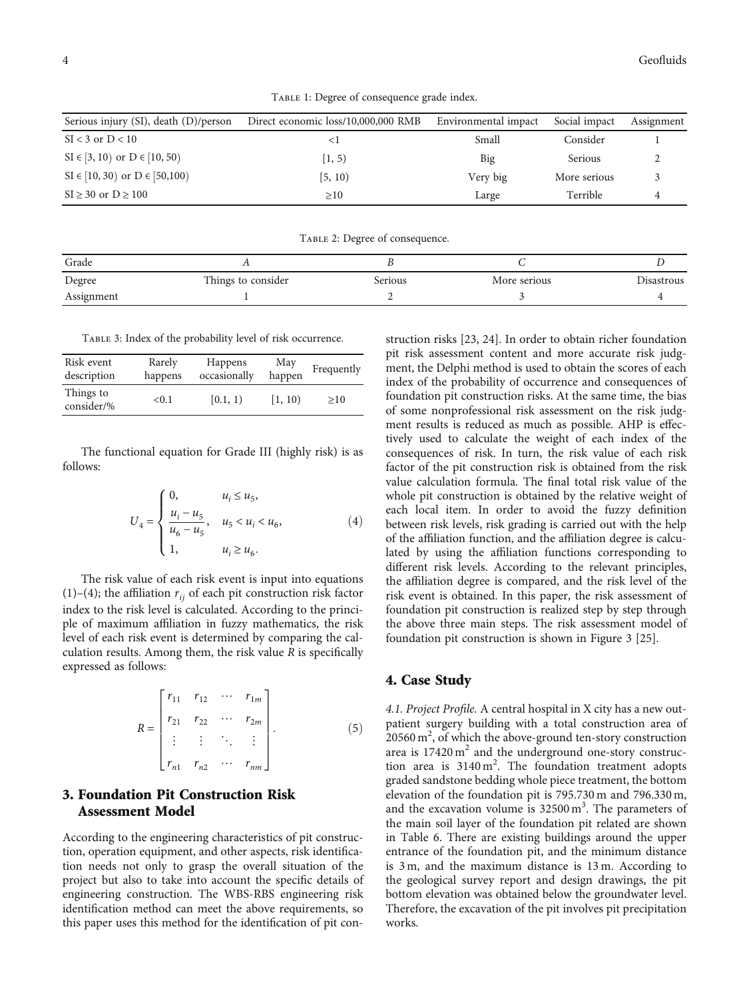TABLE 1: Degree of consequence grade index.

<span id="page-3-0"></span>

| Serious injury (SI), death (D)/person  | Direct economic loss/10,000,000 RMB | Environmental impact | Social impact | Assignment |
|----------------------------------------|-------------------------------------|----------------------|---------------|------------|
| $SI < 3$ or $D < 10$                   | $\leq$ 1                            | Small                | Consider      |            |
| $SI \in [3, 10)$ or $D \in [10, 50)$   | $ 1, 5\rangle$                      | Big                  | Serious       |            |
| $SI \in [10, 30)$ or $D \in [50, 100)$ | [5, 10)                             | Very big             | More serious  |            |
| $SI \geq 30$ or $D \geq 100$           | >10                                 | Large                | Terrible      |            |

TABLE 2: Degree of consequence.

| Grade      |                    |         |              |            |
|------------|--------------------|---------|--------------|------------|
| Degree     | Things to consider | Serious | More serious | Disastrous |
| Assignment |                    |         |              |            |

Table 3: Index of the probability level of risk occurrence.

| Risk event              | Rarely  | <b>Happens</b> | May     | Frequently |
|-------------------------|---------|----------------|---------|------------|
| description             | happens | occasionally   | happen  |            |
| Things to<br>consider/% | < 0.1   | [0.1, 1)       | [1, 10) | >10        |

The functional equation for Grade III (highly risk) is as follows:

$$
U_4 = \begin{cases} 0, & u_i \leq u_5, \\ \frac{u_i - u_5}{u_6 - u_5}, & u_5 < u_i < u_6, \\ 1, & u_i \geq u_6. \end{cases}
$$
(4)

The risk value of each risk event is input into equations [\(1](#page-2-0))–(4); the affiliation  $r_{ii}$  of each pit construction risk factor index to the risk level is calculated. According to the principle of maximum affiliation in fuzzy mathematics, the risk level of each risk event is determined by comparing the calculation results. Among them, the risk value *R* is specifically expressed as follows:

$$
R = \begin{bmatrix} r_{11} & r_{12} & \cdots & r_{1m} \\ r_{21} & r_{22} & \cdots & r_{2m} \\ \vdots & \vdots & \ddots & \vdots \\ r_{n1} & r_{n2} & \cdots & r_{nm} \end{bmatrix} .
$$
 (5)

## 3. Foundation Pit Construction Risk Assessment Model

According to the engineering characteristics of pit construction, operation equipment, and other aspects, risk identification needs not only to grasp the overall situation of the project but also to take into account the specific details of engineering construction. The WBS-RBS engineering risk identification method can meet the above requirements, so this paper uses this method for the identification of pit con-

struction risks [\[23, 24](#page-11-0)]. In order to obtain richer foundation pit risk assessment content and more accurate risk judgment, the Delphi method is used to obtain the scores of each index of the probability of occurrence and consequences of foundation pit construction risks. At the same time, the bias of some nonprofessional risk assessment on the risk judgment results is reduced as much as possible. AHP is effectively used to calculate the weight of each index of the consequences of risk. In turn, the risk value of each risk factor of the pit construction risk is obtained from the risk value calculation formula. The final total risk value of the whole pit construction is obtained by the relative weight of each local item. In order to avoid the fuzzy definition between risk levels, risk grading is carried out with the help of the affiliation function, and the affiliation degree is calculated by using the affiliation functions corresponding to different risk levels. According to the relevant principles, the affiliation degree is compared, and the risk level of the risk event is obtained. In this paper, the risk assessment of foundation pit construction is realized step by step through the above three main steps. The risk assessment model of foundation pit construction is shown in Figure [3](#page-5-0) [[25](#page-11-0)].

#### 4. Case Study

4.1. Project Profile. A central hospital in X city has a new outpatient surgery building with a total construction area of  $20560 \text{ m}^2$ , of which the above-ground ten-story construction area is  $17420 \text{ m}^2$  and the underground one-story construction area is  $3140 \text{ m}^2$ . The foundation treatment adopts graded sandstone bedding whole piece treatment, the bottom elevation of the foundation pit is 795.730 m and 796.330 m, and the excavation volume is  $32500 \text{ m}^3$ . The parameters of the main soil layer of the foundation pit related are shown in Table [6.](#page-5-0) There are existing buildings around the upper entrance of the foundation pit, and the minimum distance is 3 m, and the maximum distance is 13 m. According to the geological survey report and design drawings, the pit bottom elevation was obtained below the groundwater level. Therefore, the excavation of the pit involves pit precipitation works.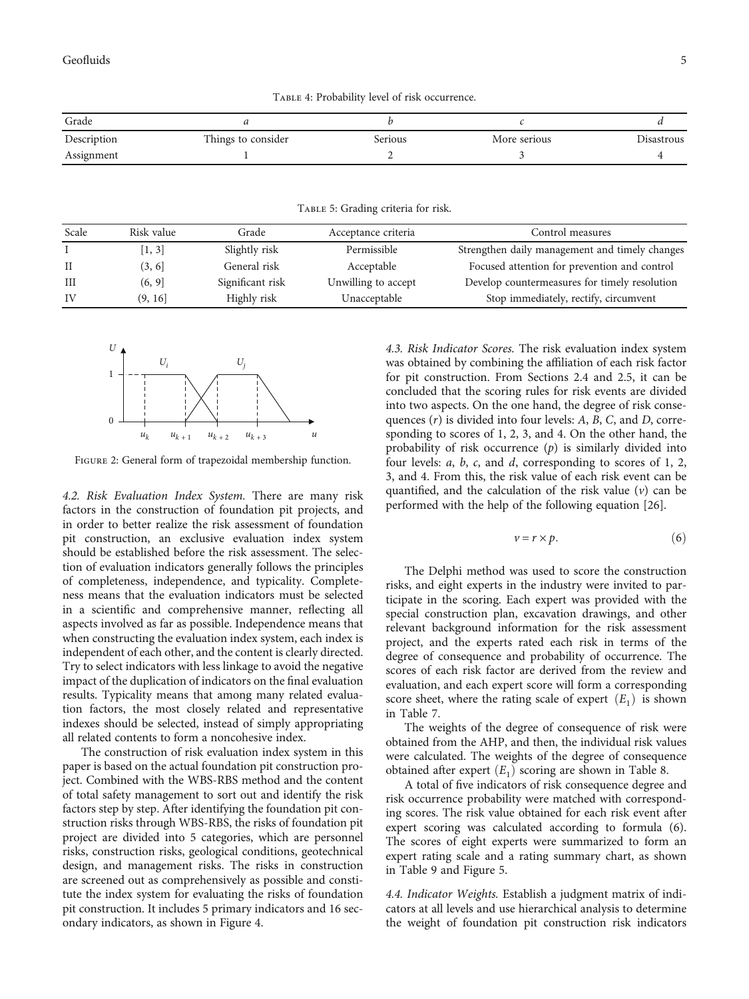<span id="page-4-0"></span>Geofluids 5

TABLE 4: Probability level of risk occurrence.

| Grade       |                    |         |              |            |
|-------------|--------------------|---------|--------------|------------|
| Description | Things to consider | Serious | More serious | Disastrous |
| Assignment  |                    |         |              |            |

Table 5: Grading criteria for risk.

| Scale | Risk value | Grade            | Acceptance criteria | Control measures                               |
|-------|------------|------------------|---------------------|------------------------------------------------|
|       | [1, 3]     | Slightly risk    | Permissible         | Strengthen daily management and timely changes |
|       | (3, 6)     | General risk     | Acceptable          | Focused attention for prevention and control   |
| Ш     | (6, 9)     | Significant risk | Unwilling to accept | Develop countermeasures for timely resolution  |
| IV    | (9, 16)    | Highly risk      | Unacceptable        | Stop immediately, rectify, circumvent          |



Figure 2: General form of trapezoidal membership function.

4.2. Risk Evaluation Index System. There are many risk factors in the construction of foundation pit projects, and in order to better realize the risk assessment of foundation pit construction, an exclusive evaluation index system should be established before the risk assessment. The selection of evaluation indicators generally follows the principles of completeness, independence, and typicality. Completeness means that the evaluation indicators must be selected in a scientific and comprehensive manner, reflecting all aspects involved as far as possible. Independence means that when constructing the evaluation index system, each index is independent of each other, and the content is clearly directed. Try to select indicators with less linkage to avoid the negative impact of the duplication of indicators on the final evaluation results. Typicality means that among many related evaluation factors, the most closely related and representative indexes should be selected, instead of simply appropriating all related contents to form a noncohesive index.

The construction of risk evaluation index system in this paper is based on the actual foundation pit construction project. Combined with the WBS-RBS method and the content of total safety management to sort out and identify the risk factors step by step. After identifying the foundation pit construction risks through WBS-RBS, the risks of foundation pit project are divided into 5 categories, which are personnel risks, construction risks, geological conditions, geotechnical design, and management risks. The risks in construction are screened out as comprehensively as possible and constitute the index system for evaluating the risks of foundation pit construction. It includes 5 primary indicators and 16 secondary indicators, as shown in Figure [4.](#page-6-0)

4.3. Risk Indicator Scores. The risk evaluation index system was obtained by combining the affiliation of each risk factor for pit construction. From Sections 2.4 and 2.5, it can be concluded that the scoring rules for risk events are divided into two aspects. On the one hand, the degree of risk consequences (*r*) is divided into four levels: *A*, *B*, *C*, and *D*, corresponding to scores of 1, 2, 3, and 4. On the other hand, the probability of risk occurrence (*p*) is similarly divided into four levels: *a*, *b*, *c*, and *d*, corresponding to scores of 1, 2, 3, and 4. From this, the risk value of each risk event can be quantified, and the calculation of the risk value (*v*) can be performed with the help of the following equation [[26](#page-11-0)].

$$
v = r \times p. \tag{6}
$$

The Delphi method was used to score the construction risks, and eight experts in the industry were invited to participate in the scoring. Each expert was provided with the special construction plan, excavation drawings, and other relevant background information for the risk assessment project, and the experts rated each risk in terms of the degree of consequence and probability of occurrence. The scores of each risk factor are derived from the review and evaluation, and each expert score will form a corresponding score sheet, where the rating scale of expert  $(E_1)$  is shown in Table [7.](#page-6-0)

The weights of the degree of consequence of risk were obtained from the AHP, and then, the individual risk values were calculated. The weights of the degree of consequence obtained after expert  $(E_1)$  scoring are shown in Table [8.](#page-7-0)

A total of five indicators of risk consequence degree and risk occurrence probability were matched with corresponding scores. The risk value obtained for each risk event after expert scoring was calculated according to formula (6). The scores of eight experts were summarized to form an expert rating scale and a rating summary chart, as shown in Table [9](#page-8-0) and Figure [5](#page-8-0).

4.4. Indicator Weights. Establish a judgment matrix of indicators at all levels and use hierarchical analysis to determine the weight of foundation pit construction risk indicators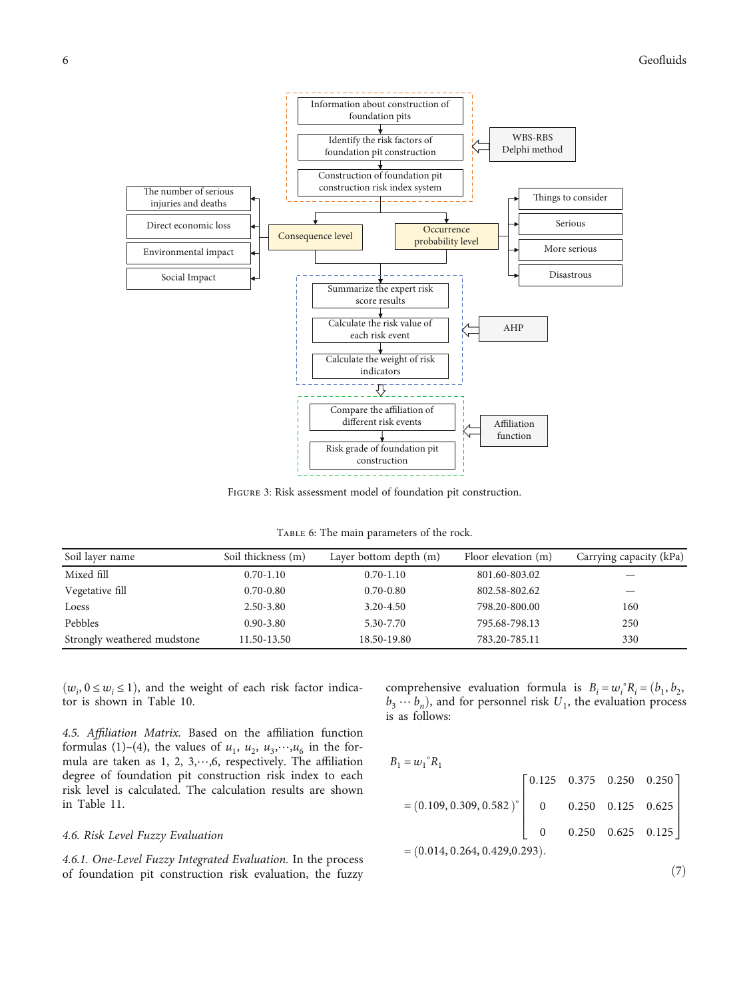<span id="page-5-0"></span>

Figure 3: Risk assessment model of foundation pit construction.

TABLE 6: The main parameters of the rock.

| Soil layer name             | Soil thickness (m) | Layer bottom depth (m) | Floor elevation (m) | Carrying capacity (kPa) |
|-----------------------------|--------------------|------------------------|---------------------|-------------------------|
| Mixed fill                  | $0.70 - 1.10$      | $0.70 - 1.10$          | 801.60-803.02       |                         |
| Vegetative fill             | $0.70 - 0.80$      | $0.70 - 0.80$          | 802.58-802.62       |                         |
| Loess                       | $2.50 - 3.80$      | $3.20 - 4.50$          | 798.20-800.00       | 160                     |
| Pebbles                     | $0.90 - 3.80$      | 5.30-7.70              | 795.68-798.13       | 250                     |
| Strongly weathered mudstone | 11.50-13.50        | 18.50-19.80            | 783.20-785.11       | 330                     |

 $(w_i, 0 \le w_i \le 1)$ , and the weight of each risk factor indicator is shown in Table [10.](#page-8-0)

4.5. Affiliation Matrix. Based on the affiliation function formulas ([1\)](#page-2-0)–([4](#page-3-0)), the values of  $u_1$ ,  $u_2$ ,  $u_3$ ,  $u_4$ <sub>6</sub> in the formula are taken as 1, 2, 3,⋯,6, respectively. The affiliation degree of foundation pit construction risk index to each risk level is calculated. The calculation results are shown in Table [11.](#page-9-0)

#### 4.6. Risk Level Fuzzy Evaluation

4.6.1. One-Level Fuzzy Integrated Evaluation. In the process of foundation pit construction risk evaluation, the fuzzy

comprehensive evaluation formula is  $B_i = w_i^{\circ} R_i = (b_1, b_2,$  $b_3 \cdots b_n$ , and for personnel risk  $U_1$ , the evaluation process is as follows:

$$
B_1 = w_1^{\circ} R_1
$$
  
= (0.109, 0.309, 0.582) $\begin{bmatrix} 0.125 & 0.375 & 0.250 & 0.250 \\ 0 & 0.250 & 0.125 & 0.625 \\ 0 & 0.250 & 0.625 & 0.125 \end{bmatrix}= (0.014, 0.264, 0.429, 0.293).$ 

 $(7)$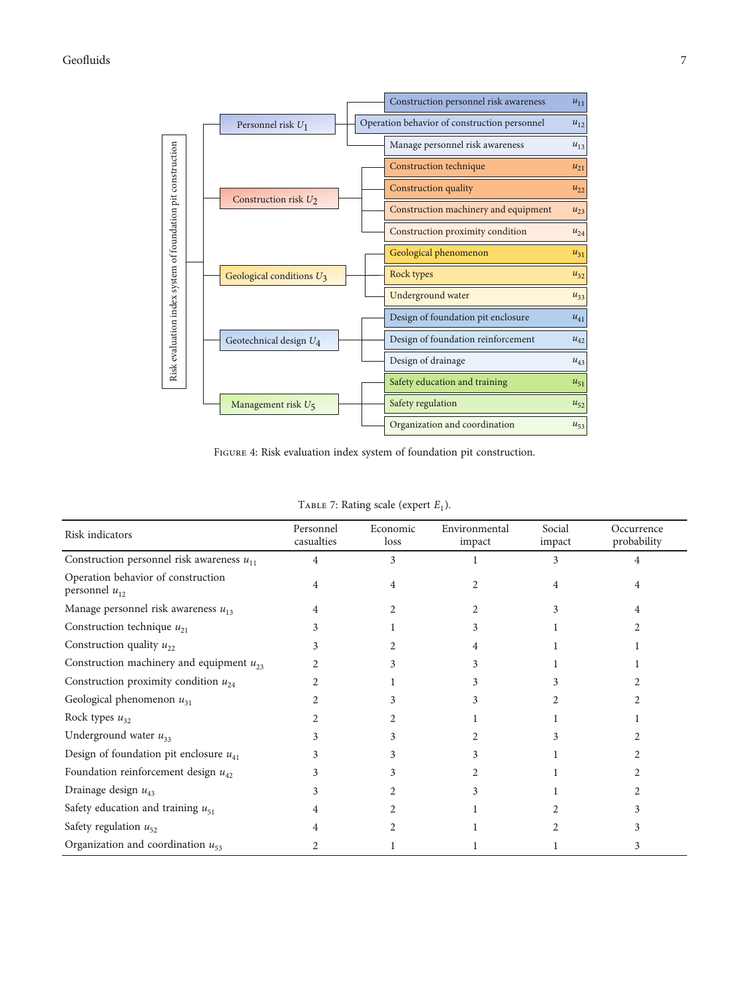<span id="page-6-0"></span>

Figure 4: Risk evaluation index system of foundation pit construction.

| Risk indicators                                          | Personnel<br>casualties | Economic<br>loss | Environmental<br>impact | Social<br>impact | Occurrence<br>probability |
|----------------------------------------------------------|-------------------------|------------------|-------------------------|------------------|---------------------------|
| Construction personnel risk awareness $u_{11}$           | 4                       | 3                |                         | 3                |                           |
| Operation behavior of construction<br>personnel $u_{12}$ | 4                       | 4                |                         |                  |                           |
| Manage personnel risk awareness $u_{13}$                 | 4                       |                  |                         | 3                |                           |
| Construction technique $u_{21}$                          |                         |                  |                         |                  |                           |
| Construction quality $u_{22}$                            | 3                       |                  |                         |                  |                           |
| Construction machinery and equipment $u_{23}$            |                         |                  |                         |                  |                           |
| Construction proximity condition $u_{24}$                |                         |                  |                         |                  |                           |
| Geological phenomenon $u_{31}$                           |                         |                  |                         |                  |                           |
| Rock types $u_{32}$                                      |                         |                  |                         |                  |                           |
| Underground water $u_{33}$                               |                         |                  |                         |                  |                           |
| Design of foundation pit enclosure $u_{41}$              |                         |                  |                         |                  |                           |
| Foundation reinforcement design $u_{42}$                 |                         |                  |                         |                  |                           |
| Drainage design $u_{43}$                                 |                         |                  |                         |                  |                           |
| Safety education and training $u_{51}$                   | 4                       |                  |                         |                  |                           |
| Safety regulation $u_{52}$                               | 4                       |                  |                         |                  |                           |
| Organization and coordination $u_{53}$                   |                         |                  |                         |                  | 3                         |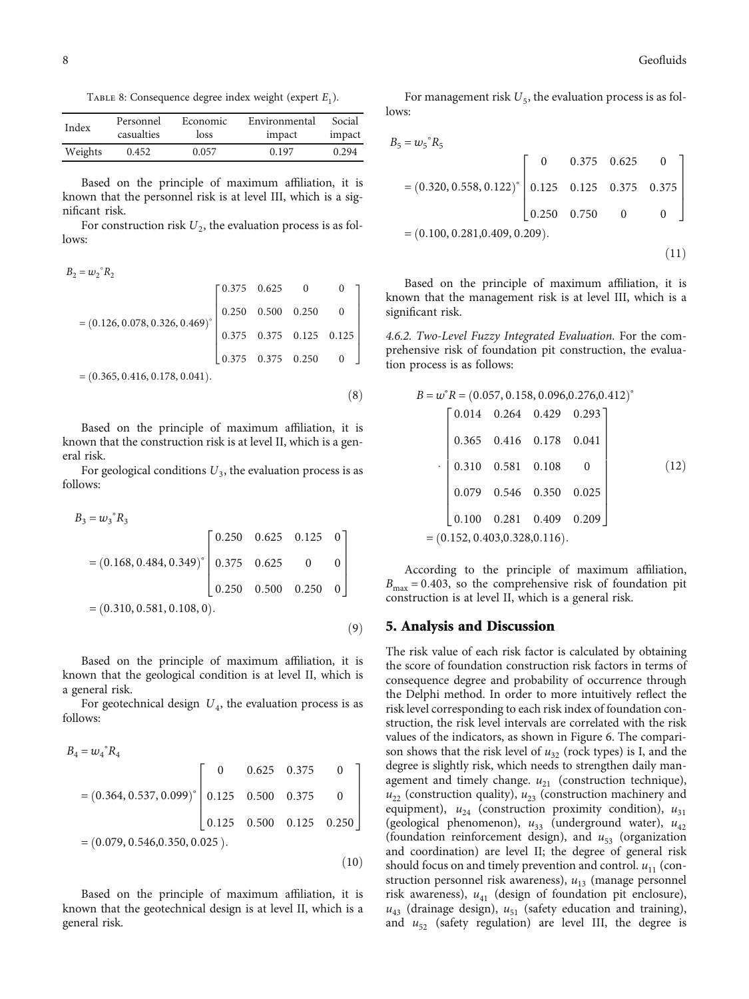<span id="page-7-0"></span>TABLE 8: Consequence degree index weight (expert  $E_1$ ).

| Index   | Personnel  | Economic | Environmental | Social |
|---------|------------|----------|---------------|--------|
|         | casualties | loss     | impact        | impact |
| Weights | 0.452      | 0.057    | 0.197         | 0.294  |

Based on the principle of maximum affiliation, it is known that the personnel risk is at level III, which is a significant risk.

For construction risk  $U_2$ , the evaluation process is as follows:

$$
B_2 = w_2^{\circ} R_2
$$
  
= (0.126, 0.078, 0.326, 0.469)<sup>°</sup>  

$$
= (0.365, 0.416, 0.178, 0.041).
$$
  
(8)

Based on the principle of maximum affiliation, it is known that the construction risk is at level II, which is a general risk.

For geological conditions  $U_3$ , the evaluation process is as follows:

$$
B_3 = w_3^{\circ} R_3
$$
  
= (0.168, 0.484, 0.349)<sup>°</sup> 
$$
\begin{bmatrix} 0.250 & 0.625 & 0.125 & 0 \\ 0.375 & 0.625 & 0 & 0 \\ 0.250 & 0.500 & 0.250 & 0 \end{bmatrix}= (0.310, 0.581, 0.108, 0). (9)
$$

Based on the principle of maximum affiliation, it is known that the geological condition is at level II, which is a general risk.

For geotechnical design  $U_4$ , the evaluation process is as follows:

$$
B_4 = w_4^{\circ} R_4
$$
  
= (0.364, 0.537, 0.099)<sup>o</sup> 
$$
\begin{bmatrix} 0 & 0.625 & 0.375 & 0 \\ 0.125 & 0.500 & 0.375 & 0 \\ 0.125 & 0.500 & 0.125 & 0.250 \end{bmatrix}= (0.079, 0.546, 0.350, 0.025). (10)
$$

Based on the principle of maximum affiliation, it is known that the geotechnical design is at level II, which is a general risk.

For management risk  $U_5$ , the evaluation process is as follows:

$$
B_5 = w_5^{\circ} R_5
$$

$$
= (0.320, 0.558, 0.122)^{\circ} \begin{bmatrix} 0 & 0.375 & 0.625 & 0 \\ 0.125 & 0.125 & 0.375 & 0.375 \\ 0.250 & 0.750 & 0 & 0 \end{bmatrix}
$$

$$
= (0.100, 0.281, 0.409, 0.209).
$$
(11)

Based on the principle of maximum affiliation, it is known that the management risk is at level III, which is a significant risk.

4.6.2. Two-Level Fuzzy Integrated Evaluation. For the comprehensive risk of foundation pit construction, the evaluation process is as follows:

$$
B = w° R = (0.057, 0.158, 0.096, 0.276, 0.412)°
$$
  
\n
$$
\begin{bmatrix}\n0.014 & 0.264 & 0.429 & 0.293 \\
0.365 & 0.416 & 0.178 & 0.041 \\
0.310 & 0.581 & 0.108 & 0 \\
0.079 & 0.546 & 0.350 & 0.025 \\
0.100 & 0.281 & 0.409 & 0.209\n\end{bmatrix}
$$
\n(12)  
\n= (0.152, 0.403, 0.328, 0.116).

According to the principle of maximum affiliation,  $B_{\text{max}} = 0.403$ , so the comprehensive risk of foundation pit construction is at level II, which is a general risk.

#### 5. Analysis and Discussion

The risk value of each risk factor is calculated by obtaining the score of foundation construction risk factors in terms of consequence degree and probability of occurrence through the Delphi method. In order to more intuitively reflect the risk level corresponding to each risk index of foundation construction, the risk level intervals are correlated with the risk values of the indicators, as shown in Figure [6](#page-9-0). The comparison shows that the risk level of  $u_{32}$  (rock types) is I, and the degree is slightly risk, which needs to strengthen daily management and timely change.  $u_{21}$  (construction technique),  $u_{22}$  (construction quality),  $u_{23}$  (construction machinery and equipment),  $u_{24}$  (construction proximity condition),  $u_{31}$ (geological phenomenon),  $u_{33}$  (underground water),  $u_{42}$ (foundation reinforcement design), and  $u_{53}$  (organization and coordination) are level II; the degree of general risk should focus on and timely prevention and control.  $u_{11}$  (construction personnel risk awareness),  $u_{13}$  (manage personnel risk awareness),  $u_{41}$  (design of foundation pit enclosure),  $u_{43}$  (drainage design),  $u_{51}$  (safety education and training), and  $u_{52}$  (safety regulation) are level III, the degree is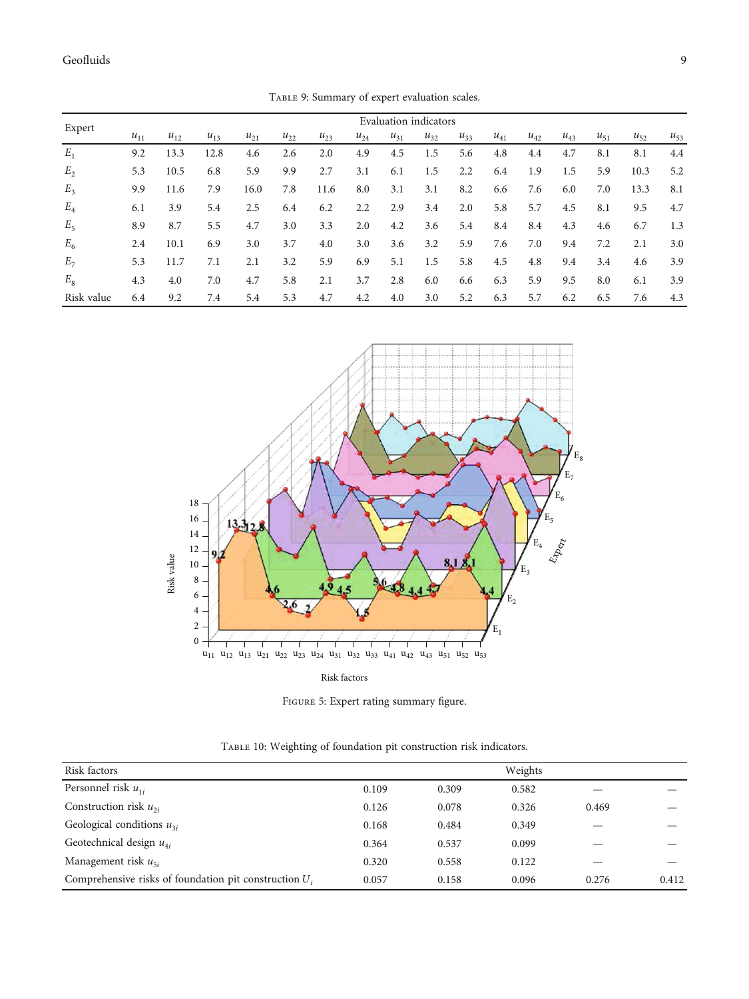<span id="page-8-0"></span>

|                |                       |          |          |          |          | $1.1222$ ), canning, or expert craftation beared. |          |          |          |          |          |          |          |          |          |          |
|----------------|-----------------------|----------|----------|----------|----------|---------------------------------------------------|----------|----------|----------|----------|----------|----------|----------|----------|----------|----------|
| Expert         | Evaluation indicators |          |          |          |          |                                                   |          |          |          |          |          |          |          |          |          |          |
|                | $u_{11}$              | $u_{12}$ | $u_{13}$ | $u_{21}$ | $u_{22}$ | $u_{23}$                                          | $u_{24}$ | $u_{31}$ | $u_{32}$ | $u_{33}$ | $u_{41}$ | $u_{42}$ | $u_{43}$ | $u_{51}$ | $u_{52}$ | $u_{53}$ |
| $E_1$          | 9.2                   | 13.3     | 12.8     | 4.6      | 2.6      | 2.0                                               | 4.9      | 4.5      | 1.5      | 5.6      | 4.8      | 4.4      | 4.7      | 8.1      | 8.1      | 4.4      |
| E <sub>2</sub> | 5.3                   | 10.5     | 6.8      | 5.9      | 9.9      | 2.7                                               | 3.1      | 6.1      | 1.5      | 2.2      | 6.4      | 1.9      | 1.5      | 5.9      | 10.3     | 5.2      |
| $E_3$          | 9.9                   | 11.6     | 7.9      | 16.0     | 7.8      | 11.6                                              | 8.0      | 3.1      | 3.1      | 8.2      | 6.6      | 7.6      | 6.0      | 7.0      | 13.3     | 8.1      |
| $E_4$          | 6.1                   | 3.9      | 5.4      | 2.5      | 6.4      | 6.2                                               | 2.2      | 2.9      | 3.4      | 2.0      | 5.8      | 5.7      | 4.5      | 8.1      | 9.5      | 4.7      |
| $E_5$          | 8.9                   | 8.7      | 5.5      | 4.7      | 3.0      | 3.3                                               | 2.0      | 4.2      | 3.6      | 5.4      | 8.4      | 8.4      | 4.3      | 4.6      | 6.7      | 1.3      |
| $E_6$          | 2.4                   | 10.1     | 6.9      | 3.0      | 3.7      | 4.0                                               | 3.0      | 3.6      | 3.2      | 5.9      | 7.6      | 7.0      | 9.4      | 7.2      | 2.1      | 3.0      |
| $E_7$          | 5.3                   | 11.7     | 7.1      | 2.1      | 3.2      | 5.9                                               | 6.9      | 5.1      | 1.5      | 5.8      | 4.5      | 4.8      | 9.4      | 3.4      | 4.6      | 3.9      |
| $E_8$          | 4.3                   | 4.0      | 7.0      | 4.7      | 5.8      | 2.1                                               | 3.7      | 2.8      | 6.0      | 6.6      | 6.3      | 5.9      | 9.5      | 8.0      | 6.1      | 3.9      |
| Risk value     | 6.4                   | 9.2      | 7.4      | 5.4      | 5.3      | 4.7                                               | 4.2      | 4.0      | 3.0      | 5.2      | 6.3      | 5.7      | 6.2      | 6.5      | 7.6      | 4.3      |



Risk factors

Figure 5: Expert rating summary figure.

| Risk factors                                             |       |       | Weights |       |       |
|----------------------------------------------------------|-------|-------|---------|-------|-------|
| Personnel risk $u_{1i}$                                  | 0.109 | 0.309 | 0.582   |       |       |
| Construction risk $u_{2i}$                               | 0.126 | 0.078 | 0.326   | 0.469 |       |
| Geological conditions $u_{3i}$                           | 0.168 | 0.484 | 0.349   |       |       |
| Geotechnical design $u_{4i}$                             | 0.364 | 0.537 | 0.099   |       |       |
| Management risk $u_{5i}$                                 | 0.320 | 0.558 | 0.122   |       |       |
| Comprehensive risks of foundation pit construction $U_i$ | 0.057 | 0.158 | 0.096   | 0.276 | 0.412 |

Table 10: Weighting of foundation pit construction risk indicators.

Table 9: Summary of expert evaluation scales.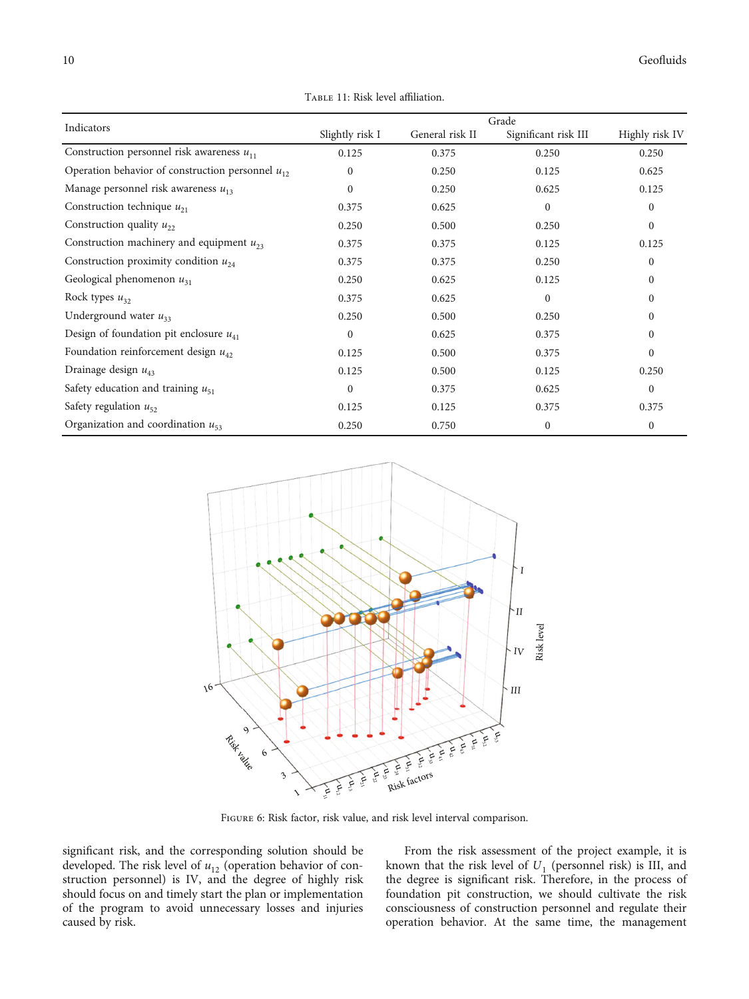<span id="page-9-0"></span>

| Indicators                                            |                 |                 | Grade                |                |
|-------------------------------------------------------|-----------------|-----------------|----------------------|----------------|
|                                                       | Slightly risk I | General risk II | Significant risk III | Highly risk IV |
| Construction personnel risk awareness $u_{11}$        | 0.125           | 0.375           | 0.250                | 0.250          |
| Operation behavior of construction personnel $u_{12}$ | $\mathbf{0}$    | 0.250           | 0.125                | 0.625          |
| Manage personnel risk awareness $u_{13}$              | $\mathbf{0}$    | 0.250           | 0.625                | 0.125          |
| Construction technique $u_{21}$                       | 0.375           | 0.625           | $\Omega$             | $\mathbf{0}$   |
| Construction quality $u_{22}$                         | 0.250           | 0.500           | 0.250                | $\mathbf{0}$   |
| Construction machinery and equipment $u_{23}$         | 0.375           | 0.375           | 0.125                | 0.125          |
| Construction proximity condition $u_{24}$             | 0.375           | 0.375           | 0.250                | $\mathbf{0}$   |
| Geological phenomenon $u_{31}$                        | 0.250           | 0.625           | 0.125                | $\mathbf{0}$   |
| Rock types $u_{32}$                                   | 0.375           | 0.625           | $\mathbf{0}$         | $\mathbf{0}$   |
| Underground water $u_{33}$                            | 0.250           | 0.500           | 0.250                | $\mathbf{0}$   |
| Design of foundation pit enclosure $u_{41}$           | $\mathbf{0}$    | 0.625           | 0.375                | $\mathbf{0}$   |
| Foundation reinforcement design $u_{42}$              | 0.125           | 0.500           | 0.375                | $\mathbf{0}$   |
| Drainage design $u_{43}$                              | 0.125           | 0.500           | 0.125                | 0.250          |
| Safety education and training $u_{51}$                | $\mathbf{0}$    | 0.375           | 0.625                | $\mathbf{0}$   |
| Safety regulation $u_{52}$                            | 0.125           | 0.125           | 0.375                | 0.375          |
| Organization and coordination $u_{53}$                | 0.250           | 0.750           | $\mathbf{0}$         | $\mathbf{0}$   |





FIGURE 6: Risk factor, risk value, and risk level interval comparison.

significant risk, and the corresponding solution should be developed. The risk level of  $u_{12}$  (operation behavior of construction personnel) is IV, and the degree of highly risk should focus on and timely start the plan or implementation of the program to avoid unnecessary losses and injuries caused by risk.

From the risk assessment of the project example, it is known that the risk level of  $U_1$  (personnel risk) is III, and the degree is significant risk. Therefore, in the process of foundation pit construction, we should cultivate the risk consciousness of construction personnel and regulate their operation behavior. At the same time, the management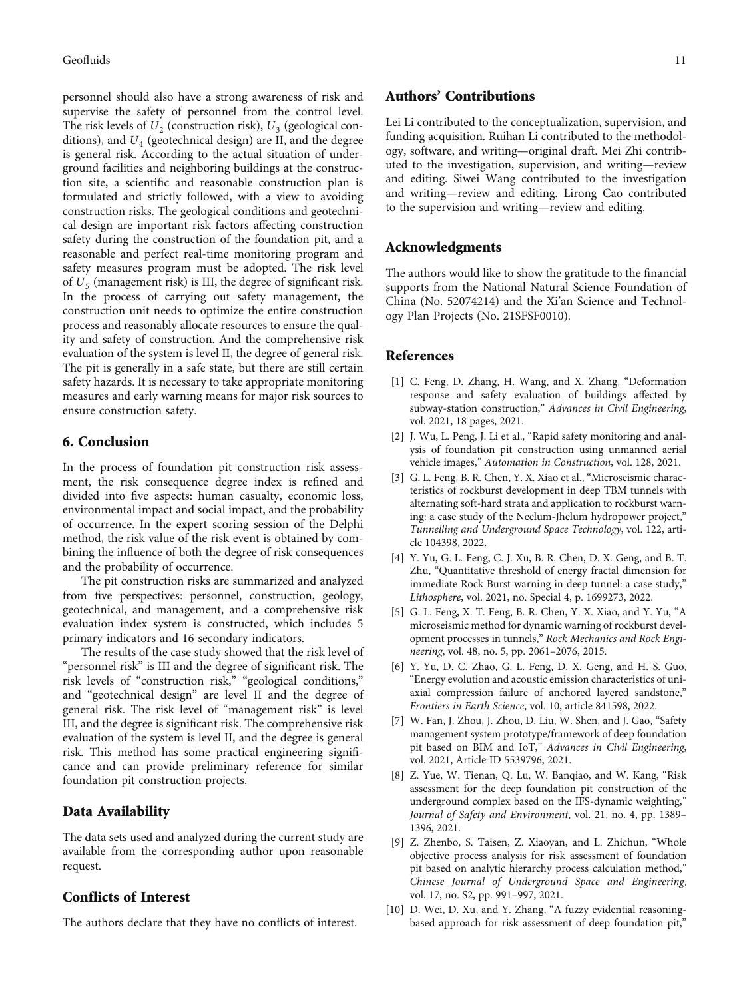<span id="page-10-0"></span>personnel should also have a strong awareness of risk and supervise the safety of personnel from the control level. The risk levels of  $U_2$  (construction risk),  $U_3$  (geological conditions), and  $U_4$  (geotechnical design) are II, and the degree is general risk. According to the actual situation of underground facilities and neighboring buildings at the construction site, a scientific and reasonable construction plan is formulated and strictly followed, with a view to avoiding construction risks. The geological conditions and geotechnical design are important risk factors affecting construction safety during the construction of the foundation pit, and a reasonable and perfect real-time monitoring program and safety measures program must be adopted. The risk level of  $U_5$  (management risk) is III, the degree of significant risk. In the process of carrying out safety management, the construction unit needs to optimize the entire construction process and reasonably allocate resources to ensure the quality and safety of construction. And the comprehensive risk evaluation of the system is level II, the degree of general risk. The pit is generally in a safe state, but there are still certain safety hazards. It is necessary to take appropriate monitoring measures and early warning means for major risk sources to ensure construction safety.

#### 6. Conclusion

In the process of foundation pit construction risk assessment, the risk consequence degree index is refined and divided into five aspects: human casualty, economic loss, environmental impact and social impact, and the probability of occurrence. In the expert scoring session of the Delphi method, the risk value of the risk event is obtained by combining the influence of both the degree of risk consequences and the probability of occurrence.

The pit construction risks are summarized and analyzed from five perspectives: personnel, construction, geology, geotechnical, and management, and a comprehensive risk evaluation index system is constructed, which includes 5 primary indicators and 16 secondary indicators.

The results of the case study showed that the risk level of "personnel risk" is III and the degree of significant risk. The risk levels of "construction risk," "geological conditions," and "geotechnical design" are level II and the degree of general risk. The risk level of "management risk" is level III, and the degree is significant risk. The comprehensive risk evaluation of the system is level II, and the degree is general risk. This method has some practical engineering significance and can provide preliminary reference for similar foundation pit construction projects.

#### Data Availability

The data sets used and analyzed during the current study are available from the corresponding author upon reasonable request.

## Conflicts of Interest

The authors declare that they have no conflicts of interest.

## Authors' Contributions

Lei Li contributed to the conceptualization, supervision, and funding acquisition. Ruihan Li contributed to the methodology, software, and writing—original draft. Mei Zhi contributed to the investigation, supervision, and writing—review and editing. Siwei Wang contributed to the investigation and writing—review and editing. Lirong Cao contributed to the supervision and writing—review and editing.

## Acknowledgments

The authors would like to show the gratitude to the financial supports from the National Natural Science Foundation of China (No. 52074214) and the Xi'an Science and Technology Plan Projects (No. 21SFSF0010).

#### References

- [1] C. Feng, D. Zhang, H. Wang, and X. Zhang, "Deformation response and safety evaluation of buildings affected by subway-station construction," Advances in Civil Engineering, vol. 2021, 18 pages, 2021.
- [2] J. Wu, L. Peng, J. Li et al., "Rapid safety monitoring and analysis of foundation pit construction using unmanned aerial vehicle images," Automation in Construction, vol. 128, 2021.
- [3] G. L. Feng, B. R. Chen, Y. X. Xiao et al., "Microseismic characteristics of rockburst development in deep TBM tunnels with alternating soft-hard strata and application to rockburst warning: a case study of the Neelum-Jhelum hydropower project," Tunnelling and Underground Space Technology, vol. 122, article 104398, 2022.
- [4] Y. Yu, G. L. Feng, C. J. Xu, B. R. Chen, D. X. Geng, and B. T. Zhu, "Quantitative threshold of energy fractal dimension for immediate Rock Burst warning in deep tunnel: a case study," Lithosphere, vol. 2021, no. Special 4, p. 1699273, 2022.
- [5] G. L. Feng, X. T. Feng, B. R. Chen, Y. X. Xiao, and Y. Yu, "A microseismic method for dynamic warning of rockburst development processes in tunnels," Rock Mechanics and Rock Engineering, vol. 48, no. 5, pp. 2061–2076, 2015.
- [6] Y. Yu, D. C. Zhao, G. L. Feng, D. X. Geng, and H. S. Guo, "Energy evolution and acoustic emission characteristics of uniaxial compression failure of anchored layered sandstone," Frontiers in Earth Science, vol. 10, article 841598, 2022.
- [7] W. Fan, J. Zhou, J. Zhou, D. Liu, W. Shen, and J. Gao, "Safety management system prototype/framework of deep foundation pit based on BIM and IoT," Advances in Civil Engineering, vol. 2021, Article ID 5539796, 2021.
- [8] Z. Yue, W. Tienan, Q. Lu, W. Banqiao, and W. Kang, "Risk assessment for the deep foundation pit construction of the underground complex based on the IFS-dynamic weighting," Journal of Safety and Environment, vol. 21, no. 4, pp. 1389– 1396, 2021.
- [9] Z. Zhenbo, S. Taisen, Z. Xiaoyan, and L. Zhichun, "Whole objective process analysis for risk assessment of foundation pit based on analytic hierarchy process calculation method," Chinese Journal of Underground Space and Engineering, vol. 17, no. S2, pp. 991–997, 2021.
- [10] D. Wei, D. Xu, and Y. Zhang, "A fuzzy evidential reasoningbased approach for risk assessment of deep foundation pit,"